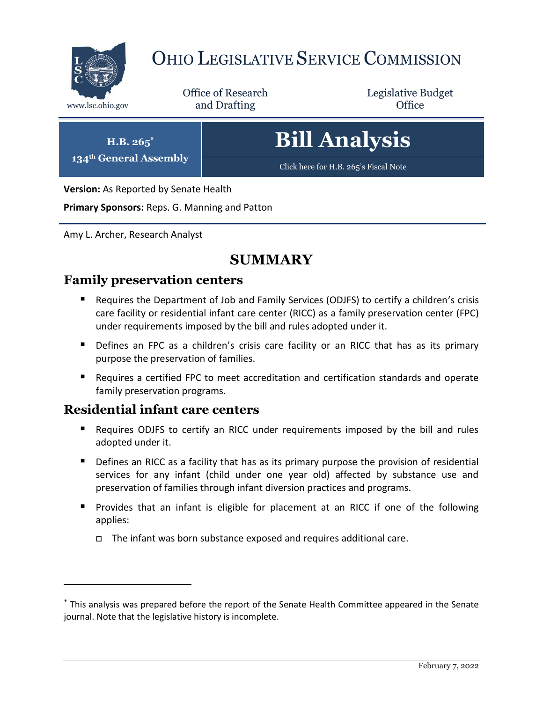

# OHIO LEGISLATIVE SERVICE COMMISSION

Office of Research www.lsc.ohio.gov **and Drafting Office** 

Legislative Budget

**H.B. 265\***

**134th General Assembly**

**Bill Analysis**

[Click here for H.B. 265](https://www.legislature.ohio.gov/legislation/legislation-documents?id=GA134-HB-265)'s Fiscal Note

**Version:** As Reported by Senate Health

**Primary Sponsors:** Reps. G. Manning and Patton

Amy L. Archer, Research Analyst

# **SUMMARY**

## **Family preservation centers**

- Requires the Department of Job and Family Services (ODJFS) to certify a children's crisis care facility or residential infant care center (RICC) as a family preservation center (FPC) under requirements imposed by the bill and rules adopted under it.
- **Defines an FPC as a children's crisis care facility or an RICC that has as its primary** purpose the preservation of families.
- Requires a certified FPC to meet accreditation and certification standards and operate family preservation programs.

## **Residential infant care centers**

- Requires ODJFS to certify an RICC under requirements imposed by the bill and rules adopted under it.
- **•** Defines an RICC as a facility that has as its primary purpose the provision of residential services for any infant (child under one year old) affected by substance use and preservation of families through infant diversion practices and programs.
- **Provides that an infant is eligible for placement at an RICC if one of the following** applies:
	- $\Box$  The infant was born substance exposed and requires additional care.

<sup>\*</sup> This analysis was prepared before the report of the Senate Health Committee appeared in the Senate journal. Note that the legislative history is incomplete.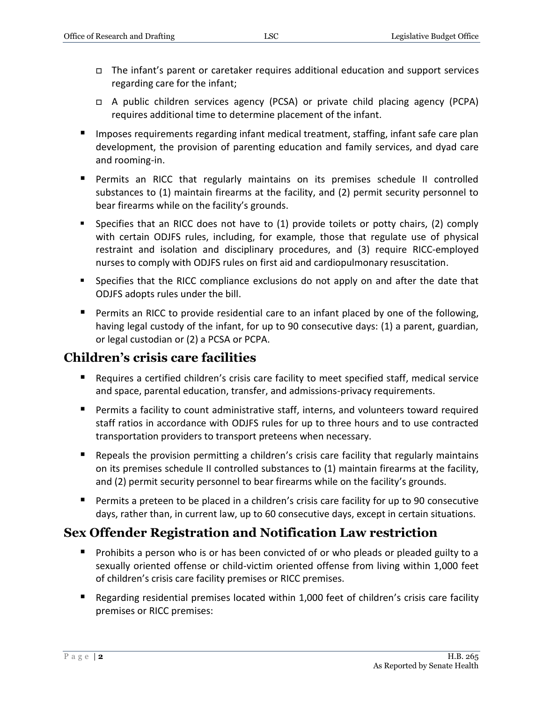- The infant's parent or caretaker requires additional education and support services regarding care for the infant;
- A public children services agency (PCSA) or private child placing agency (PCPA) requires additional time to determine placement of the infant.
- **IMPOLER 1.5 Imposes requirements regarding infant medical treatment, staffing, infant safe care plan** development, the provision of parenting education and family services, and dyad care and rooming-in.
- Permits an RICC that regularly maintains on its premises schedule II controlled substances to (1) maintain firearms at the facility, and (2) permit security personnel to bear firearms while on the facility's grounds.
- Specifies that an RICC does not have to (1) provide toilets or potty chairs, (2) comply with certain ODJFS rules, including, for example, those that regulate use of physical restraint and isolation and disciplinary procedures, and (3) require RICC-employed nurses to comply with ODJFS rules on first aid and cardiopulmonary resuscitation.
- **Specifies that the RICC compliance exclusions do not apply on and after the date that** ODJFS adopts rules under the bill.
- Permits an RICC to provide residential care to an infant placed by one of the following, having legal custody of the infant, for up to 90 consecutive days: (1) a parent, guardian, or legal custodian or (2) a PCSA or PCPA.

# **Children's crisis care facilities**

- Requires a certified children's crisis care facility to meet specified staff, medical service and space, parental education, transfer, and admissions-privacy requirements.
- Permits a facility to count administrative staff, interns, and volunteers toward required staff ratios in accordance with ODJFS rules for up to three hours and to use contracted transportation providers to transport preteens when necessary.
- Repeals the provision permitting a children's crisis care facility that regularly maintains on its premises schedule II controlled substances to (1) maintain firearms at the facility, and (2) permit security personnel to bear firearms while on the facility's grounds.
- Permits a preteen to be placed in a children's crisis care facility for up to 90 consecutive days, rather than, in current law, up to 60 consecutive days, except in certain situations.

# **Sex Offender Registration and Notification Law restriction**

- **Prohibits a person who is or has been convicted of or who pleads or pleaded guilty to a** sexually oriented offense or child-victim oriented offense from living within 1,000 feet of children's crisis care facility premises or RICC premises.
- Regarding residential premises located within 1,000 feet of children's crisis care facility premises or RICC premises: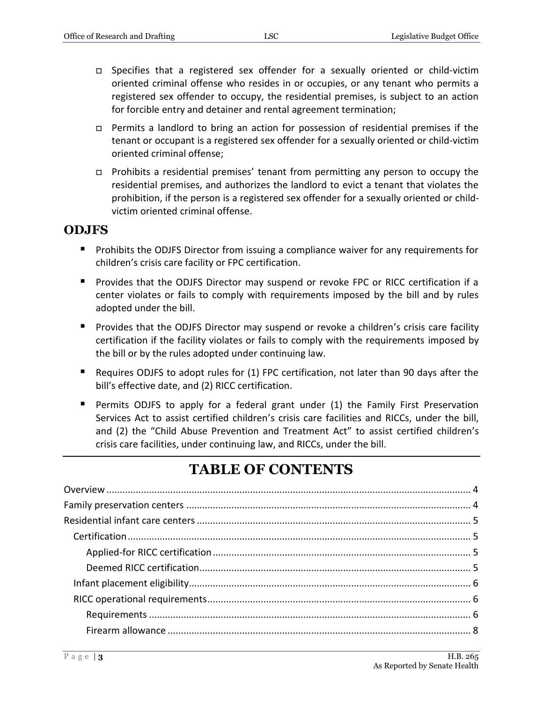- Specifies that a registered sex offender for a sexually oriented or child-victim oriented criminal offense who resides in or occupies, or any tenant who permits a registered sex offender to occupy, the residential premises, is subject to an action for forcible entry and detainer and rental agreement termination;
- Permits a landlord to bring an action for possession of residential premises if the tenant or occupant is a registered sex offender for a sexually oriented or child-victim oriented criminal offense;
- Prohibits a residential premises' tenant from permitting any person to occupy the residential premises, and authorizes the landlord to evict a tenant that violates the prohibition, if the person is a registered sex offender for a sexually oriented or childvictim oriented criminal offense.

#### **ODJFS**

- Prohibits the ODJFS Director from issuing a compliance waiver for any requirements for children's crisis care facility or FPC certification.
- **Provides that the ODJFS Director may suspend or revoke FPC or RICC certification if a** center violates or fails to comply with requirements imposed by the bill and by rules adopted under the bill.
- **Provides that the ODJFS Director may suspend or revoke a children's crisis care facility** certification if the facility violates or fails to comply with the requirements imposed by the bill or by the rules adopted under continuing law.
- Requires ODJFS to adopt rules for (1) FPC certification, not later than 90 days after the bill's effective date, and (2) RICC certification.
- **Permits ODJFS to apply for a federal grant under (1) the Family First Preservation** Services Act to assist certified children's crisis care facilities and RICCs, under the bill, and (2) the "Child Abuse Prevention and Treatment Act" to assist certified children's crisis care facilities, under continuing law, and RICCs, under the bill.

# **TABLE OF CONTENTS**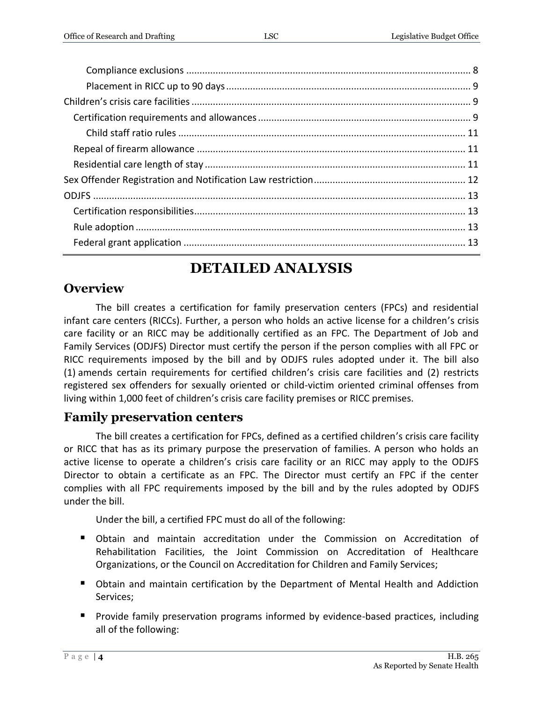# **DETAILED ANALYSIS**

Federal grant application [..........................................................................................................](#page-12-3) 13

# <span id="page-3-0"></span>**Overview**

The bill creates a certification for family preservation centers (FPCs) and residential infant care centers (RICCs). Further, a person who holds an active license for a children's crisis care facility or an RICC may be additionally certified as an FPC. The Department of Job and Family Services (ODJFS) Director must certify the person if the person complies with all FPC or RICC requirements imposed by the bill and by ODJFS rules adopted under it. The bill also (1) amends certain requirements for certified children's crisis care facilities and (2) restricts registered sex offenders for sexually oriented or child-victim oriented criminal offenses from living within 1,000 feet of children's crisis care facility premises or RICC premises.

# <span id="page-3-1"></span>**Family preservation centers**

The bill creates a certification for FPCs, defined as a certified children's crisis care facility or RICC that has as its primary purpose the preservation of families. A person who holds an active license to operate a children's crisis care facility or an RICC may apply to the ODJFS Director to obtain a certificate as an FPC. The Director must certify an FPC if the center complies with all FPC requirements imposed by the bill and by the rules adopted by ODJFS under the bill.

Under the bill, a certified FPC must do all of the following:

- Obtain and maintain accreditation under the Commission on Accreditation of Rehabilitation Facilities, the Joint Commission on Accreditation of Healthcare Organizations, or the Council on Accreditation for Children and Family Services;
- **D** Obtain and maintain certification by the Department of Mental Health and Addiction Services;
- **Provide family preservation programs informed by evidence-based practices, including** all of the following: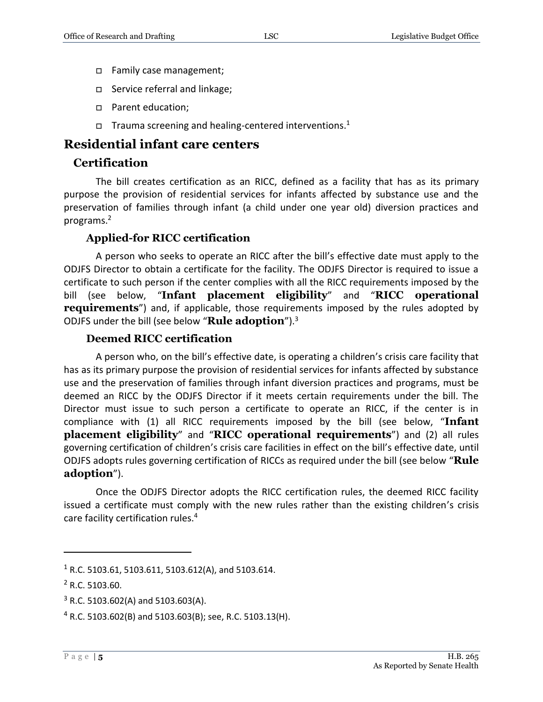- Family case management;
- □ Service referral and linkage;
- □ Parent education;
- $\Box$  Trauma screening and healing-centered interventions.<sup>1</sup>

#### <span id="page-4-0"></span>**Residential infant care centers**

#### <span id="page-4-1"></span>**Certification**

The bill creates certification as an RICC, defined as a facility that has as its primary purpose the provision of residential services for infants affected by substance use and the preservation of families through infant (a child under one year old) diversion practices and programs.<sup>2</sup>

#### **Applied-for RICC certification**

<span id="page-4-2"></span>A person who seeks to operate an RICC after the bill's effective date must apply to the ODJFS Director to obtain a certificate for the facility. The ODJFS Director is required to issue a certificate to such person if the center complies with all the RICC requirements imposed by the bill (see below, "**Infant placement eligibility**" and "**RICC operational requirements**") and, if applicable, those requirements imposed by the rules adopted by ODJFS under the bill (see below "**Rule adoption**").<sup>3</sup>

#### **Deemed RICC certification**

<span id="page-4-3"></span>A person who, on the bill's effective date, is operating a children's crisis care facility that has as its primary purpose the provision of residential services for infants affected by substance use and the preservation of families through infant diversion practices and programs, must be deemed an RICC by the ODJFS Director if it meets certain requirements under the bill. The Director must issue to such person a certificate to operate an RICC, if the center is in compliance with (1) all RICC requirements imposed by the bill (see below, "**Infant placement eligibility**" and "**RICC operational requirements**") and (2) all rules governing certification of children's crisis care facilities in effect on the bill's effective date, until ODJFS adopts rules governing certification of RICCs as required under the bill (see below "**Rule adoption**").

Once the ODJFS Director adopts the RICC certification rules, the deemed RICC facility issued a certificate must comply with the new rules rather than the existing children's crisis care facility certification rules.<sup>4</sup>

 $1$  R.C. 5103.61, 5103.611, 5103.612(A), and 5103.614.

 $2$  R.C. 5103.60.

 $3$  R.C. 5103.602(A) and 5103.603(A).

 $4$  R.C. 5103.602(B) and 5103.603(B); see, R.C. 5103.13(H).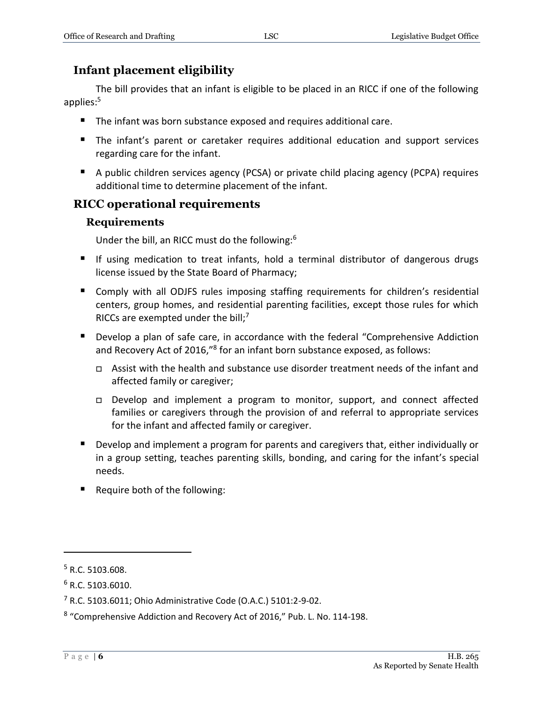# <span id="page-5-0"></span>**Infant placement eligibility**

The bill provides that an infant is eligible to be placed in an RICC if one of the following applies:<sup>5</sup>

- The infant was born substance exposed and requires additional care.
- **The infant's parent or caretaker requires additional education and support services** regarding care for the infant.
- A public children services agency (PCSA) or private child placing agency (PCPA) requires additional time to determine placement of the infant.

## <span id="page-5-2"></span><span id="page-5-1"></span>**RICC operational requirements**

#### **Requirements**

Under the bill, an RICC must do the following:<sup>6</sup>

- If using medication to treat infants, hold a terminal distributor of dangerous drugs license issued by the State Board of Pharmacy;
- Comply with all ODJFS rules imposing staffing requirements for children's residential centers, group homes, and residential parenting facilities, except those rules for which RICCs are exempted under the bill; $<sup>7</sup>$ </sup>
- Develop a plan of safe care, in accordance with the federal "Comprehensive Addiction and Recovery Act of 2016,"<sup>8</sup> for an infant born substance exposed, as follows:
	- Assist with the health and substance use disorder treatment needs of the infant and affected family or caregiver;
	- □ Develop and implement a program to monitor, support, and connect affected families or caregivers through the provision of and referral to appropriate services for the infant and affected family or caregiver.
- Develop and implement a program for parents and caregivers that, either individually or in a group setting, teaches parenting skills, bonding, and caring for the infant's special needs.
- Require both of the following:

<sup>5</sup> R.C. 5103.608.

 $6$  R.C. 5103.6010.

<sup>7</sup> R.C. 5103.6011; Ohio Administrative Code (O.A.C.) 5101:2-9-02.

<sup>&</sup>lt;sup>8</sup> "Comprehensive Addiction and Recovery Act of 2016," Pub. L. No. 114-198.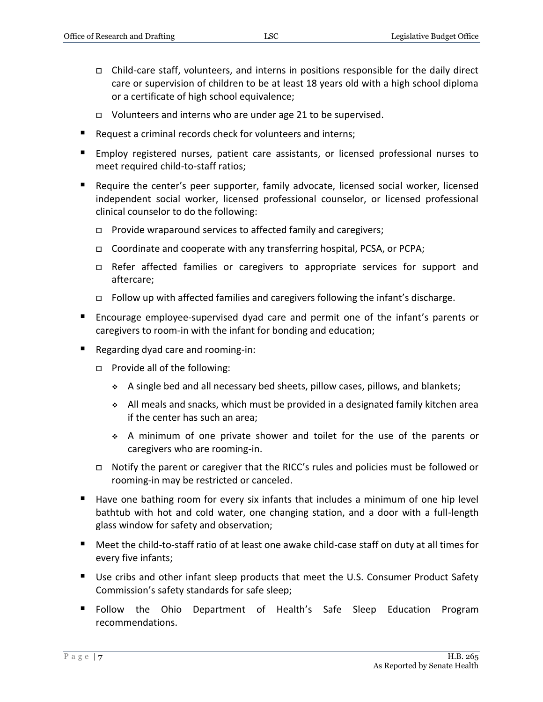- Child-care staff, volunteers, and interns in positions responsible for the daily direct care or supervision of children to be at least 18 years old with a high school diploma or a certificate of high school equivalence;
- $\Box$  Volunteers and interns who are under age 21 to be supervised.
- Request a criminal records check for volunteers and interns;
- Employ registered nurses, patient care assistants, or licensed professional nurses to meet required child-to-staff ratios;
- **Require the center's peer supporter, family advocate, licensed social worker, licensed** independent social worker, licensed professional counselor, or licensed professional clinical counselor to do the following:
	- $\Box$  Provide wraparound services to affected family and caregivers;
	- Coordinate and cooperate with any transferring hospital, PCSA, or PCPA;
	- Refer affected families or caregivers to appropriate services for support and aftercare;
	- Follow up with affected families and caregivers following the infant's discharge.
- Encourage employee-supervised dyad care and permit one of the infant's parents or caregivers to room-in with the infant for bonding and education;
- Regarding dyad care and rooming-in:
	- □ Provide all of the following:
		- A single bed and all necessary bed sheets, pillow cases, pillows, and blankets;
		- $\bullet$  All meals and snacks, which must be provided in a designated family kitchen area if the center has such an area;
		- A minimum of one private shower and toilet for the use of the parents or caregivers who are rooming-in.
	- □ Notify the parent or caregiver that the RICC's rules and policies must be followed or rooming-in may be restricted or canceled.
- Have one bathing room for every six infants that includes a minimum of one hip level bathtub with hot and cold water, one changing station, and a door with a full-length glass window for safety and observation;
- Meet the child-to-staff ratio of at least one awake child-case staff on duty at all times for every five infants;
- Use cribs and other infant sleep products that meet the U.S. Consumer Product Safety Commission's safety standards for safe sleep;
- Follow the Ohio Department of Health's Safe Sleep Education Program recommendations.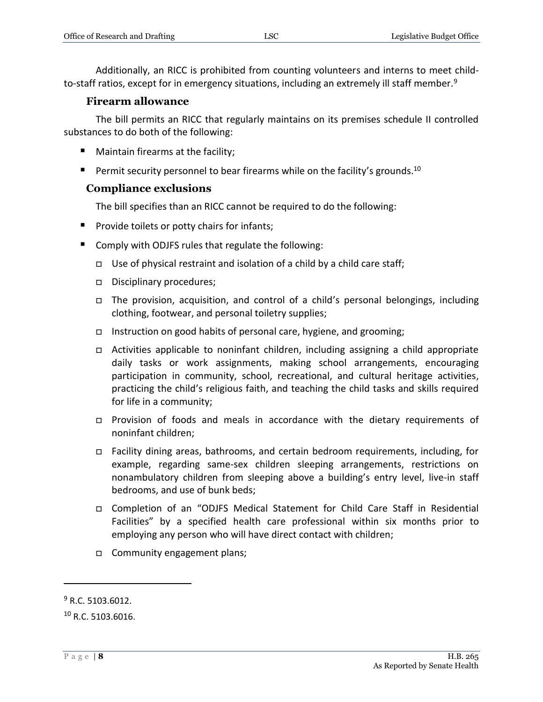Additionally, an RICC is prohibited from counting volunteers and interns to meet childto-staff ratios, except for in emergency situations, including an extremely ill staff member.<sup>9</sup>

#### **Firearm allowance**

<span id="page-7-0"></span>The bill permits an RICC that regularly maintains on its premises schedule II controlled substances to do both of the following:

- **Maintain firearms at the facility;**
- Permit security personnel to bear firearms while on the facility's grounds.<sup>10</sup>

#### <span id="page-7-1"></span>**Compliance exclusions**

The bill specifies than an RICC cannot be required to do the following:

- **Provide toilets or potty chairs for infants;**
- Comply with ODJFS rules that regulate the following:
	- $\Box$  Use of physical restraint and isolation of a child by a child care staff;
	- Disciplinary procedures;
	- The provision, acquisition, and control of a child's personal belongings, including clothing, footwear, and personal toiletry supplies;
	- Instruction on good habits of personal care, hygiene, and grooming;
	- Activities applicable to noninfant children, including assigning a child appropriate daily tasks or work assignments, making school arrangements, encouraging participation in community, school, recreational, and cultural heritage activities, practicing the child's religious faith, and teaching the child tasks and skills required for life in a community;
	- Provision of foods and meals in accordance with the dietary requirements of noninfant children;
	- Facility dining areas, bathrooms, and certain bedroom requirements, including, for example, regarding same-sex children sleeping arrangements, restrictions on nonambulatory children from sleeping above a building's entry level, live-in staff bedrooms, and use of bunk beds;
	- Completion of an "ODJFS Medical Statement for Child Care Staff in Residential Facilities" by a specified health care professional within six months prior to employing any person who will have direct contact with children;
	- □ Community engagement plans;

 $9$  R.C. 5103.6012.

 $10 R.C. 5103.6016.$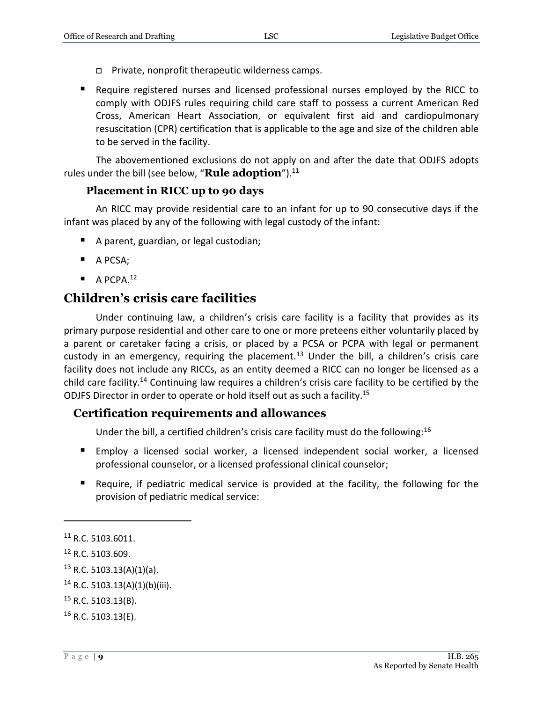- $\Box$  Private, nonprofit therapeutic wilderness camps.
- Require registered nurses and licensed professional nurses employed by the RICC to comply with ODJFS rules requiring child care staff to possess a current American Red Cross, American Heart Association, or equivalent first aid and cardiopulmonary resuscitation (CPR) certification that is applicable to the age and size of the children able to be served in the facility.

The abovementioned exclusions do not apply on and after the date that ODJFS adopts rules under the bill (see below, "**Rule adoption**").<sup>11</sup>

#### **Placement in RICC up to 90 days**

<span id="page-8-0"></span>An RICC may provide residential care to an infant for up to 90 consecutive days if the infant was placed by any of the following with legal custody of the infant:

- A parent, guardian, or legal custodian;
- A PCSA;
- $\blacksquare$  A PCPA.<sup>12</sup>

# <span id="page-8-1"></span>**Children's crisis care facilities**

Under continuing law, a children's crisis care facility is a facility that provides as its primary purpose residential and other care to one or more preteens either voluntarily placed by a parent or caretaker facing a crisis, or placed by a PCSA or PCPA with legal or permanent custody in an emergency, requiring the placement.<sup>13</sup> Under the bill, a children's crisis care facility does not include any RICCs, as an entity deemed a RICC can no longer be licensed as a child care facility.<sup>14</sup> Continuing law requires a children's crisis care facility to be certified by the ODJFS Director in order to operate or hold itself out as such a facility.<sup>15</sup>

#### <span id="page-8-2"></span>**Certification requirements and allowances**

Under the bill, a certified children's crisis care facility must do the following:<sup>16</sup>

- Employ a licensed social worker, a licensed independent social worker, a licensed professional counselor, or a licensed professional clinical counselor;
- Require, if pediatric medical service is provided at the facility, the following for the provision of pediatric medical service:

<sup>11</sup> R.C. 5103.6011.

<sup>12</sup> R.C. 5103.609.

 $13$  R.C. 5103.13(A)(1)(a).

 $14$  R.C. 5103.13(A)(1)(b)(iii).

 $15$  R.C. 5103.13(B).

<sup>16</sup> R.C. 5103.13(E).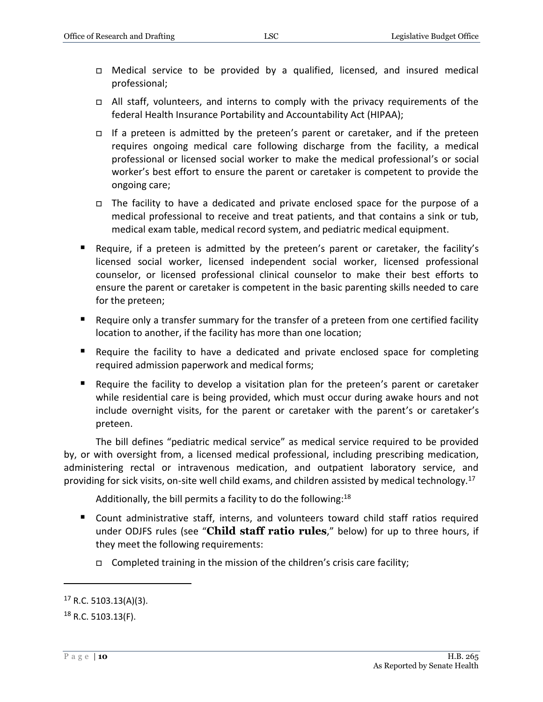- □ Medical service to be provided by a qualified, licensed, and insured medical professional;
- □ All staff, volunteers, and interns to comply with the privacy requirements of the federal Health Insurance Portability and Accountability Act (HIPAA);
- If a preteen is admitted by the preteen's parent or caretaker, and if the preteen requires ongoing medical care following discharge from the facility, a medical professional or licensed social worker to make the medical professional's or social worker's best effort to ensure the parent or caretaker is competent to provide the ongoing care;
- The facility to have a dedicated and private enclosed space for the purpose of a medical professional to receive and treat patients, and that contains a sink or tub, medical exam table, medical record system, and pediatric medical equipment.
- Require, if a preteen is admitted by the preteen's parent or caretaker, the facility's licensed social worker, licensed independent social worker, licensed professional counselor, or licensed professional clinical counselor to make their best efforts to ensure the parent or caretaker is competent in the basic parenting skills needed to care for the preteen;
- Require only a transfer summary for the transfer of a preteen from one certified facility location to another, if the facility has more than one location;
- Require the facility to have a dedicated and private enclosed space for completing required admission paperwork and medical forms;
- Require the facility to develop a visitation plan for the preteen's parent or caretaker while residential care is being provided, which must occur during awake hours and not include overnight visits, for the parent or caretaker with the parent's or caretaker's preteen.

The bill defines "pediatric medical service" as medical service required to be provided by, or with oversight from, a licensed medical professional, including prescribing medication, administering rectal or intravenous medication, and outpatient laboratory service, and providing for sick visits, on-site well child exams, and children assisted by medical technology.<sup>17</sup>

Additionally, the bill permits a facility to do the following: $^{18}$ 

- Count administrative staff, interns, and volunteers toward child staff ratios required under ODJFS rules (see "**Child staff ratio rules**," below) for up to three hours, if they meet the following requirements:
	- $\Box$  Completed training in the mission of the children's crisis care facility;

 $17$  R.C. 5103.13(A)(3).

 $18$  R.C. 5103.13(F).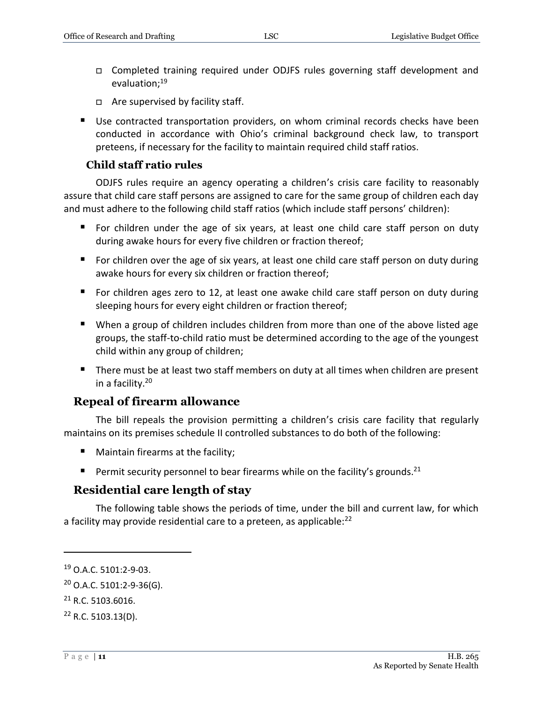- Completed training required under ODJFS rules governing staff development and evaluation;<sup>19</sup>
- □ Are supervised by facility staff.
- Use contracted transportation providers, on whom criminal records checks have been conducted in accordance with Ohio's criminal background check law, to transport preteens, if necessary for the facility to maintain required child staff ratios.

#### **Child staff ratio rules**

<span id="page-10-0"></span>ODJFS rules require an agency operating a children's crisis care facility to reasonably assure that child care staff persons are assigned to care for the same group of children each day and must adhere to the following child staff ratios (which include staff persons' children):

- For children under the age of six years, at least one child care staff person on duty during awake hours for every five children or fraction thereof;
- For children over the age of six years, at least one child care staff person on duty during awake hours for every six children or fraction thereof;
- For children ages zero to 12, at least one awake child care staff person on duty during sleeping hours for every eight children or fraction thereof;
- When a group of children includes children from more than one of the above listed age groups, the staff-to-child ratio must be determined according to the age of the youngest child within any group of children;
- There must be at least two staff members on duty at all times when children are present in a facility.<sup>20</sup>

#### <span id="page-10-1"></span>**Repeal of firearm allowance**

The bill repeals the provision permitting a children's crisis care facility that regularly maintains on its premises schedule II controlled substances to do both of the following:

- **Maintain firearms at the facility;**
- **Permit security personnel to bear firearms while on the facility's grounds.**<sup>21</sup>

#### <span id="page-10-2"></span>**Residential care length of stay**

The following table shows the periods of time, under the bill and current law, for which a facility may provide residential care to a preteen, as applicable:<sup>22</sup>

<sup>19</sup> O.A.C. 5101:2-9-03.

 $20$  O.A.C. 5101:2-9-36(G).

 $21$  R.C. 5103.6016.

<sup>22</sup> R.C. 5103.13(D).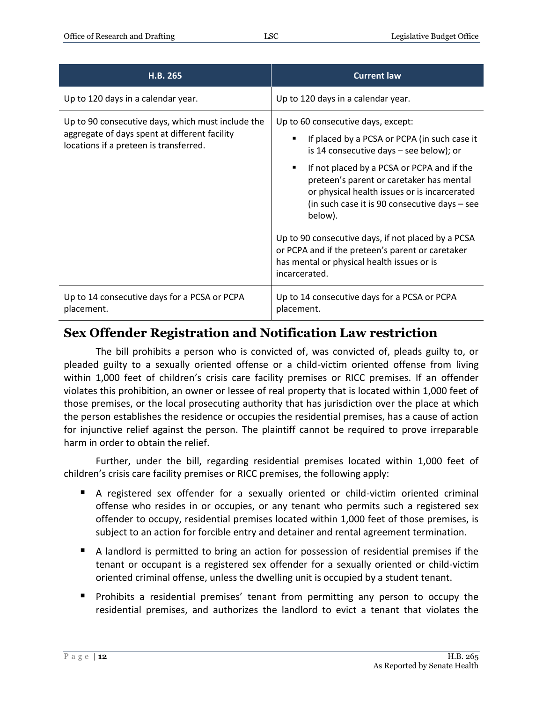| H.B. 265                                                                                                                                     | <b>Current law</b>                                                                                                                                                                                                                                                                                                                                                                                                                                                                                                |
|----------------------------------------------------------------------------------------------------------------------------------------------|-------------------------------------------------------------------------------------------------------------------------------------------------------------------------------------------------------------------------------------------------------------------------------------------------------------------------------------------------------------------------------------------------------------------------------------------------------------------------------------------------------------------|
| Up to 120 days in a calendar year.                                                                                                           | Up to 120 days in a calendar year.                                                                                                                                                                                                                                                                                                                                                                                                                                                                                |
| Up to 90 consecutive days, which must include the<br>aggregate of days spent at different facility<br>locations if a preteen is transferred. | Up to 60 consecutive days, except:<br>If placed by a PCSA or PCPA (in such case it<br>is 14 consecutive days - see below); or<br>If not placed by a PCSA or PCPA and if the<br>٠<br>preteen's parent or caretaker has mental<br>or physical health issues or is incarcerated<br>(in such case it is 90 consecutive days - see<br>below).<br>Up to 90 consecutive days, if not placed by a PCSA<br>or PCPA and if the preteen's parent or caretaker<br>has mental or physical health issues or is<br>incarcerated. |
| Up to 14 consecutive days for a PCSA or PCPA<br>placement.                                                                                   | Up to 14 consecutive days for a PCSA or PCPA<br>placement.                                                                                                                                                                                                                                                                                                                                                                                                                                                        |

# <span id="page-11-0"></span>**Sex Offender Registration and Notification Law restriction**

The bill prohibits a person who is convicted of, was convicted of, pleads guilty to, or pleaded guilty to a sexually oriented offense or a child-victim oriented offense from living within 1,000 feet of children's crisis care facility premises or RICC premises. If an offender violates this prohibition, an owner or lessee of real property that is located within 1,000 feet of those premises, or the local prosecuting authority that has jurisdiction over the place at which the person establishes the residence or occupies the residential premises, has a cause of action for injunctive relief against the person. The plaintiff cannot be required to prove irreparable harm in order to obtain the relief.

Further, under the bill, regarding residential premises located within 1,000 feet of children's crisis care facility premises or RICC premises, the following apply:

- A registered sex offender for a sexually oriented or child-victim oriented criminal offense who resides in or occupies, or any tenant who permits such a registered sex offender to occupy, residential premises located within 1,000 feet of those premises, is subject to an action for forcible entry and detainer and rental agreement termination.
- A landlord is permitted to bring an action for possession of residential premises if the tenant or occupant is a registered sex offender for a sexually oriented or child-victim oriented criminal offense, unless the dwelling unit is occupied by a student tenant.
- **Prohibits a residential premises' tenant from permitting any person to occupy the** residential premises, and authorizes the landlord to evict a tenant that violates the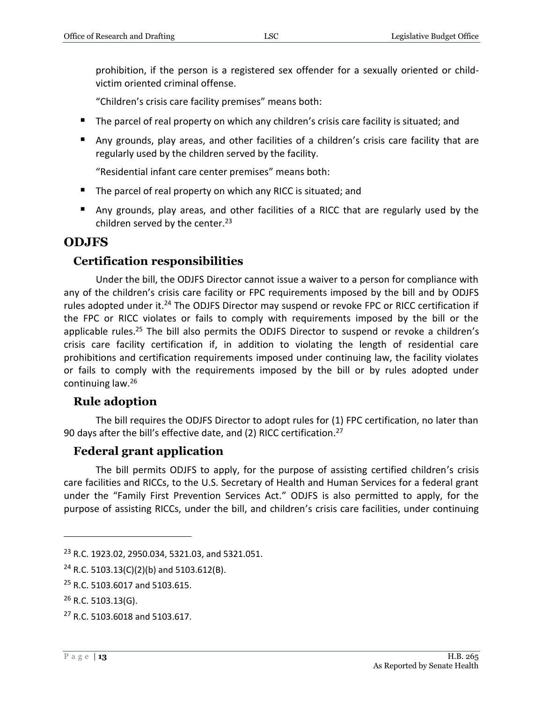prohibition, if the person is a registered sex offender for a sexually oriented or childvictim oriented criminal offense.

"Children's crisis care facility premises" means both:

- The parcel of real property on which any children's crisis care facility is situated; and
- Any grounds, play areas, and other facilities of a children's crisis care facility that are regularly used by the children served by the facility.

"Residential infant care center premises" means both:

- The parcel of real property on which any RICC is situated; and
- Any grounds, play areas, and other facilities of a RICC that are regularly used by the children served by the center. $23$

## <span id="page-12-0"></span>**ODJFS**

#### <span id="page-12-1"></span>**Certification responsibilities**

Under the bill, the ODJFS Director cannot issue a waiver to a person for compliance with any of the children's crisis care facility or FPC requirements imposed by the bill and by ODJFS rules adopted under it.<sup>24</sup> The ODJFS Director may suspend or revoke FPC or RICC certification if the FPC or RICC violates or fails to comply with requirements imposed by the bill or the applicable rules.<sup>25</sup> The bill also permits the ODJFS Director to suspend or revoke a children's crisis care facility certification if, in addition to violating the length of residential care prohibitions and certification requirements imposed under continuing law, the facility violates or fails to comply with the requirements imposed by the bill or by rules adopted under continuing law.<sup>26</sup>

## <span id="page-12-2"></span>**Rule adoption**

The bill requires the ODJFS Director to adopt rules for (1) FPC certification, no later than 90 days after the bill's effective date, and (2) RICC certification.<sup>27</sup>

#### <span id="page-12-3"></span>**Federal grant application**

The bill permits ODJFS to apply, for the purpose of assisting certified children's crisis care facilities and RICCs, to the U.S. Secretary of Health and Human Services for a federal grant under the "Family First Prevention Services Act." ODJFS is also permitted to apply, for the purpose of assisting RICCs, under the bill, and children's crisis care facilities, under continuing

<sup>23</sup> R.C. 1923.02, 2950.034, 5321.03, and 5321.051.

<sup>&</sup>lt;sup>24</sup> R.C. 5103.13(C)(2)(b) and 5103.612(B).

<sup>&</sup>lt;sup>25</sup> R.C. 5103.6017 and 5103.615.

 $26$  R.C. 5103.13(G).

<sup>27</sup> R.C. 5103.6018 and 5103.617.